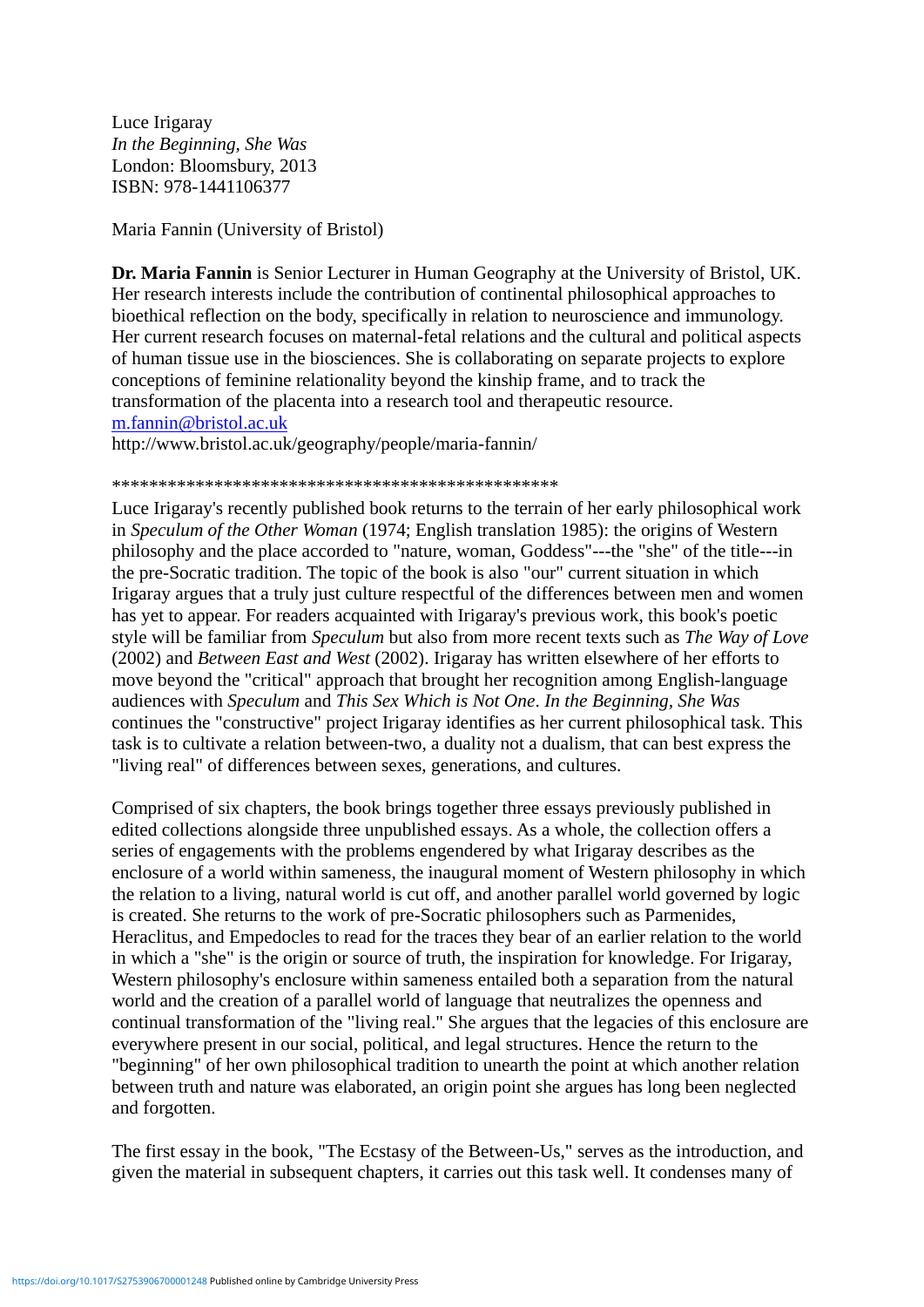Luce Irigaray *In the Beginning, She Was* London: Bloomsbury, 2013 ISBN: 978-1441106377

Maria Fannin (University of Bristol)

**Dr. Maria Fannin** is Senior Lecturer in Human Geography at the University of Bristol, UK. Her research interests include the contribution of continental philosophical approaches to bioethical reflection on the body, specifically in relation to neuroscience and immunology. Her current research focuses on maternal-fetal relations and the cultural and political aspects of human tissue use in the biosciences. She is collaborating on separate projects to explore conceptions of feminine relationality beyond the kinship frame, and to track the transformation of the placenta into a research tool and therapeutic resource. [m.fannin@bristol.ac.uk](mailto:m.fannin@bristol.ac.uk)

http://www.bristol.ac.uk/geography/people/maria-fannin/

\*\*\*\*\*\*\*\*\*\*\*\*\*\*\*\*\*\*\*\*\*\*\*\*\*\*\*\*\*\*\*\*\*\*\*\*\*\*\*\*\*\*\*\*\*\*\*\*

Luce Irigaray's recently published book returns to the terrain of her early philosophical work in *Speculum of the Other Woman* (1974; English translation 1985): the origins of Western philosophy and the place accorded to "nature, woman, Goddess"---the "she" of the title---in the pre-Socratic tradition. The topic of the book is also "our" current situation in which Irigaray argues that a truly just culture respectful of the differences between men and women has yet to appear. For readers acquainted with Irigaray's previous work, this book's poetic style will be familiar from *Speculum* but also from more recent texts such as *The Way of Love* (2002) and *Between East and West* (2002). Irigaray has written elsewhere of her efforts to move beyond the "critical" approach that brought her recognition among English-language audiences with *Speculum* and *This Sex Which is Not One*. *In the Beginning, She Was* continues the "constructive" project Irigaray identifies as her current philosophical task. This task is to cultivate a relation between-two, a duality not a dualism, that can best express the "living real" of differences between sexes, generations, and cultures.

Comprised of six chapters, the book brings together three essays previously published in edited collections alongside three unpublished essays. As a whole, the collection offers a series of engagements with the problems engendered by what Irigaray describes as the enclosure of a world within sameness, the inaugural moment of Western philosophy in which the relation to a living, natural world is cut off, and another parallel world governed by logic is created. She returns to the work of pre-Socratic philosophers such as Parmenides, Heraclitus, and Empedocles to read for the traces they bear of an earlier relation to the world in which a "she" is the origin or source of truth, the inspiration for knowledge. For Irigaray, Western philosophy's enclosure within sameness entailed both a separation from the natural world and the creation of a parallel world of language that neutralizes the openness and continual transformation of the "living real." She argues that the legacies of this enclosure are everywhere present in our social, political, and legal structures. Hence the return to the "beginning" of her own philosophical tradition to unearth the point at which another relation between truth and nature was elaborated, an origin point she argues has long been neglected and forgotten.

The first essay in the book, "The Ecstasy of the Between-Us," serves as the introduction, and given the material in subsequent chapters, it carries out this task well. It condenses many of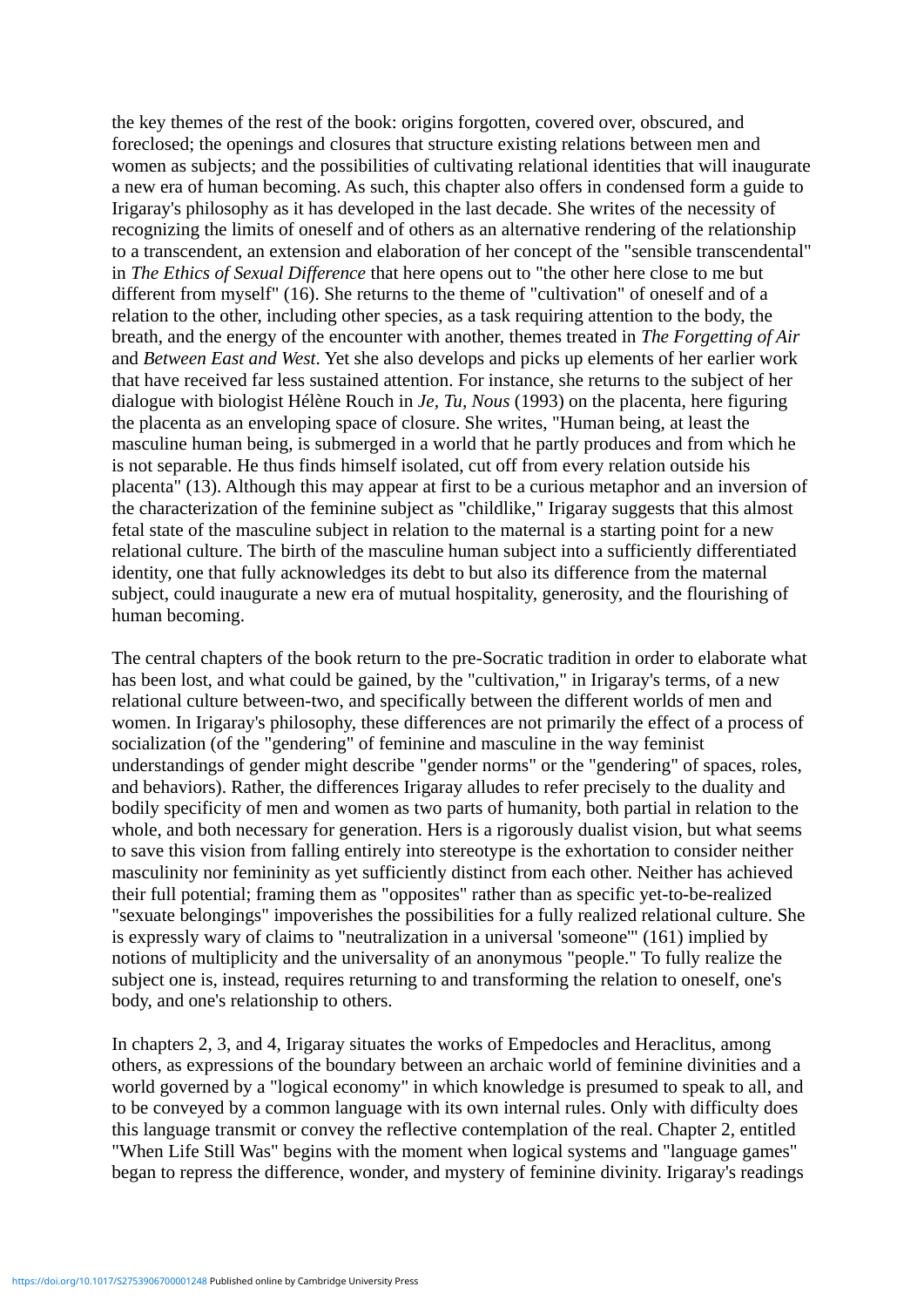the key themes of the rest of the book: origins forgotten, covered over, obscured, and foreclosed; the openings and closures that structure existing relations between men and women as subjects; and the possibilities of cultivating relational identities that will inaugurate a new era of human becoming. As such, this chapter also offers in condensed form a guide to Irigaray's philosophy as it has developed in the last decade. She writes of the necessity of recognizing the limits of oneself and of others as an alternative rendering of the relationship to a transcendent, an extension and elaboration of her concept of the "sensible transcendental" in *The Ethics of Sexual Difference* that here opens out to "the other here close to me but different from myself" (16). She returns to the theme of "cultivation" of oneself and of a relation to the other, including other species, as a task requiring attention to the body, the breath, and the energy of the encounter with another, themes treated in *The Forgetting of Air*  and *Between East and West*. Yet she also develops and picks up elements of her earlier work that have received far less sustained attention. For instance, she returns to the subject of her dialogue with biologist Hélène Rouch in *Je, Tu, Nous* (1993) on the placenta, here figuring the placenta as an enveloping space of closure. She writes, "Human being, at least the masculine human being, is submerged in a world that he partly produces and from which he is not separable. He thus finds himself isolated, cut off from every relation outside his placenta" (13). Although this may appear at first to be a curious metaphor and an inversion of the characterization of the feminine subject as "childlike," Irigaray suggests that this almost fetal state of the masculine subject in relation to the maternal is a starting point for a new relational culture. The birth of the masculine human subject into a sufficiently differentiated identity, one that fully acknowledges its debt to but also its difference from the maternal subject, could inaugurate a new era of mutual hospitality, generosity, and the flourishing of human becoming.

The central chapters of the book return to the pre-Socratic tradition in order to elaborate what has been lost, and what could be gained, by the "cultivation," in Irigaray's terms, of a new relational culture between-two, and specifically between the different worlds of men and women. In Irigaray's philosophy, these differences are not primarily the effect of a process of socialization (of the "gendering" of feminine and masculine in the way feminist understandings of gender might describe "gender norms" or the "gendering" of spaces, roles, and behaviors). Rather, the differences Irigaray alludes to refer precisely to the duality and bodily specificity of men and women as two parts of humanity, both partial in relation to the whole, and both necessary for generation. Hers is a rigorously dualist vision, but what seems to save this vision from falling entirely into stereotype is the exhortation to consider neither masculinity nor femininity as yet sufficiently distinct from each other. Neither has achieved their full potential; framing them as "opposites" rather than as specific yet-to-be-realized "sexuate belongings" impoverishes the possibilities for a fully realized relational culture. She is expressly wary of claims to "neutralization in a universal 'someone'" (161) implied by notions of multiplicity and the universality of an anonymous "people." To fully realize the subject one is, instead, requires returning to and transforming the relation to oneself, one's body, and one's relationship to others.

In chapters 2, 3, and 4, Irigaray situates the works of Empedocles and Heraclitus, among others, as expressions of the boundary between an archaic world of feminine divinities and a world governed by a "logical economy" in which knowledge is presumed to speak to all, and to be conveyed by a common language with its own internal rules. Only with difficulty does this language transmit or convey the reflective contemplation of the real. Chapter 2, entitled "When Life Still Was" begins with the moment when logical systems and "language games" began to repress the difference, wonder, and mystery of feminine divinity. Irigaray's readings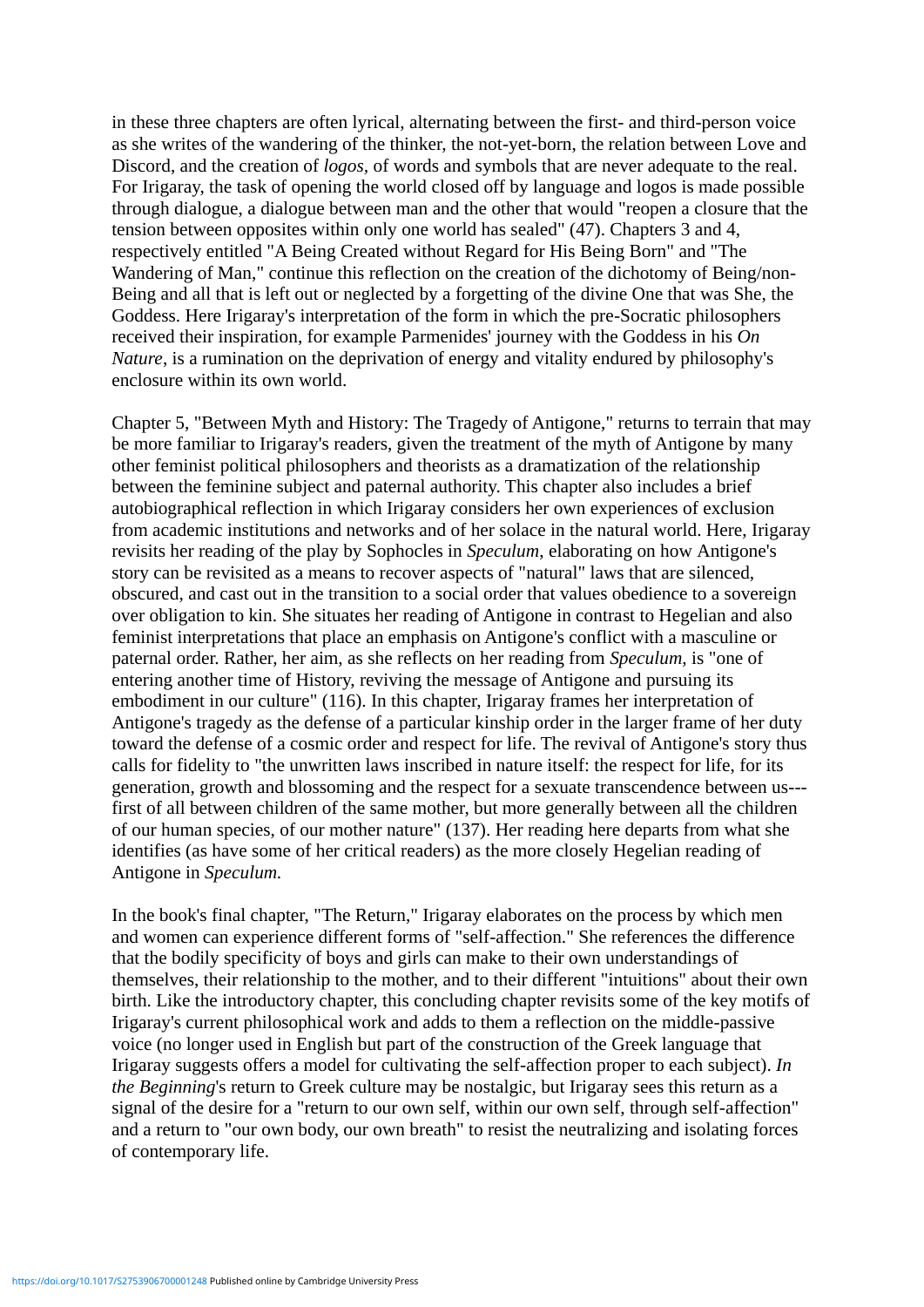in these three chapters are often lyrical, alternating between the first- and third-person voice as she writes of the wandering of the thinker, the not-yet-born, the relation between Love and Discord, and the creation of *logos,* of words and symbols that are never adequate to the real. For Irigaray, the task of opening the world closed off by language and logos is made possible through dialogue, a dialogue between man and the other that would "reopen a closure that the tension between opposites within only one world has sealed" (47). Chapters 3 and 4, respectively entitled "A Being Created without Regard for His Being Born" and "The Wandering of Man," continue this reflection on the creation of the dichotomy of Being/non-Being and all that is left out or neglected by a forgetting of the divine One that was She, the Goddess. Here Irigaray's interpretation of the form in which the pre-Socratic philosophers received their inspiration, for example Parmenides' journey with the Goddess in his *On Nature*, is a rumination on the deprivation of energy and vitality endured by philosophy's enclosure within its own world.

Chapter 5, "Between Myth and History: The Tragedy of Antigone," returns to terrain that may be more familiar to Irigaray's readers, given the treatment of the myth of Antigone by many other feminist political philosophers and theorists as a dramatization of the relationship between the feminine subject and paternal authority. This chapter also includes a brief autobiographical reflection in which Irigaray considers her own experiences of exclusion from academic institutions and networks and of her solace in the natural world. Here, Irigaray revisits her reading of the play by Sophocles in *Speculum*, elaborating on how Antigone's story can be revisited as a means to recover aspects of "natural" laws that are silenced, obscured, and cast out in the transition to a social order that values obedience to a sovereign over obligation to kin. She situates her reading of Antigone in contrast to Hegelian and also feminist interpretations that place an emphasis on Antigone's conflict with a masculine or paternal order. Rather, her aim, as she reflects on her reading from *Speculum*, is "one of entering another time of History, reviving the message of Antigone and pursuing its embodiment in our culture" (116). In this chapter, Irigaray frames her interpretation of Antigone's tragedy as the defense of a particular kinship order in the larger frame of her duty toward the defense of a cosmic order and respect for life. The revival of Antigone's story thus calls for fidelity to "the unwritten laws inscribed in nature itself: the respect for life, for its generation, growth and blossoming and the respect for a sexuate transcendence between us-- first of all between children of the same mother, but more generally between all the children of our human species, of our mother nature" (137). Her reading here departs from what she identifies (as have some of her critical readers) as the more closely Hegelian reading of Antigone in *Speculum.*

In the book's final chapter, "The Return," Irigaray elaborates on the process by which men and women can experience different forms of "self-affection." She references the difference that the bodily specificity of boys and girls can make to their own understandings of themselves, their relationship to the mother, and to their different "intuitions" about their own birth. Like the introductory chapter, this concluding chapter revisits some of the key motifs of Irigaray's current philosophical work and adds to them a reflection on the middle-passive voice (no longer used in English but part of the construction of the Greek language that Irigaray suggests offers a model for cultivating the self-affection proper to each subject). *In the Beginning*'s return to Greek culture may be nostalgic, but Irigaray sees this return as a signal of the desire for a "return to our own self, within our own self, through self-affection" and a return to "our own body, our own breath" to resist the neutralizing and isolating forces of contemporary life.